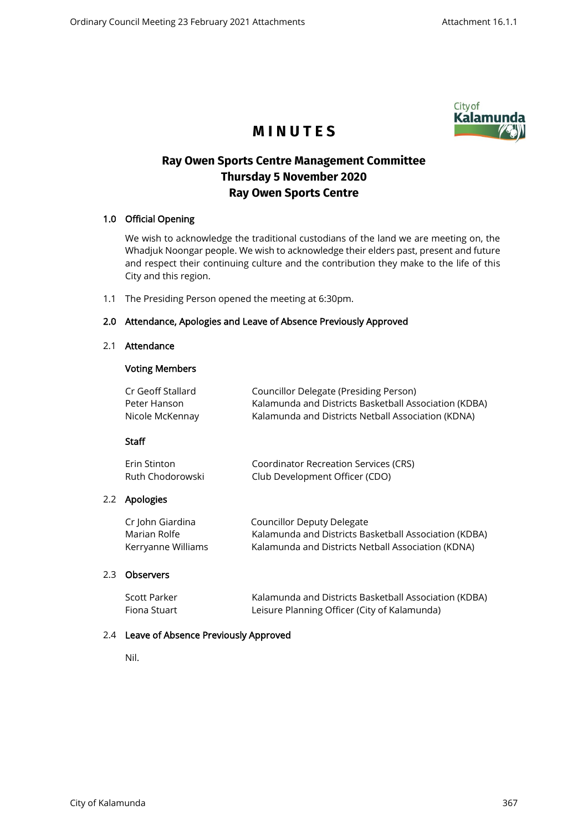

# **M I N U T E S**

## **Ray Owen Sports Centre Management Committee Thursday 5 November 2020 Ray Owen Sports Centre**

## 1.0 Official Opening

We wish to acknowledge the traditional custodians of the land we are meeting on, the Whadjuk Noongar people. We wish to acknowledge their elders past, present and future and respect their continuing culture and the contribution they make to the life of this City and this region.

1.1 The Presiding Person opened the meeting at 6:30pm.

## 2.0 Attendance, Apologies and Leave of Absence Previously Approved

#### 2.1 Attendance

#### Voting Members

| Cr Geoff Stallard | Councillor Delegate (Presiding Person)                |
|-------------------|-------------------------------------------------------|
| Peter Hanson      | Kalamunda and Districts Basketball Association (KDBA) |
| Nicole McKennay   | Kalamunda and Districts Netball Association (KDNA)    |

## Staff

| Erin Stinton     | Coordinator Recreation Services (CRS) |
|------------------|---------------------------------------|
| Ruth Chodorowski | Club Development Officer (CDO)        |

## 2.2 Apologies

| Cr John Giardina   | <b>Councillor Deputy Delegate</b>                     |
|--------------------|-------------------------------------------------------|
| Marian Rolfe       | Kalamunda and Districts Basketball Association (KDBA) |
| Kerryanne Williams | Kalamunda and Districts Netball Association (KDNA)    |

## 2.3 Observers

| Scott Parker | Kalamunda and Districts Basketball Association (KDBA) |
|--------------|-------------------------------------------------------|
| Fiona Stuart | Leisure Planning Officer (City of Kalamunda)          |

## 2.4 Leave of Absence Previously Approved

Nil.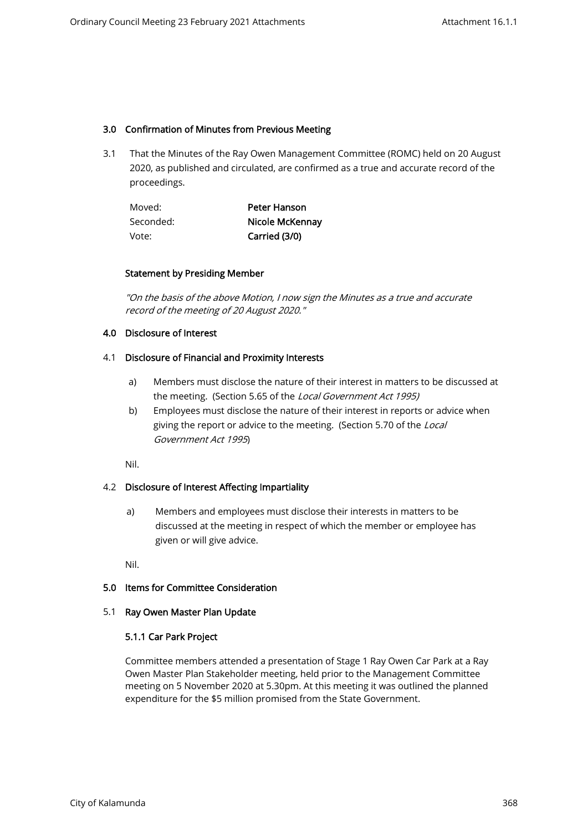## 3.0 Confirmation of Minutes from Previous Meeting

3.1 That the Minutes of the Ray Owen Management Committee (ROMC) held on 20 August 2020, as published and circulated, are confirmed as a true and accurate record of the proceedings.

| Moved:    | Peter Hanson    |
|-----------|-----------------|
| Seconded: | Nicole McKennay |
| Vote:     | Carried (3/0)   |

#### Statement by Presiding Member

"On the basis of the above Motion, I now sign the Minutes as a true and accurate record of the meeting of 20 August 2020."

## 4.0 Disclosure of Interest

#### 4.1 Disclosure of Financial and Proximity Interests

- a) Members must disclose the nature of their interest in matters to be discussed at the meeting. (Section 5.65 of the Local Government Act 1995)
- b) Employees must disclose the nature of their interest in reports or advice when giving the report or advice to the meeting. (Section 5.70 of the Local Government Act 1995)

Nil.

## 4.2 Disclosure of Interest Affecting Impartiality

a) Members and employees must disclose their interests in matters to be discussed at the meeting in respect of which the member or employee has given or will give advice.

Nil.

## 5.0 Items for Committee Consideration

#### 5.1 Ray Owen Master Plan Update

## 5.1.1 Car Park Project

Committee members attended a presentation of Stage 1 Ray Owen Car Park at a Ray Owen Master Plan Stakeholder meeting, held prior to the Management Committee meeting on 5 November 2020 at 5.30pm. At this meeting it was outlined the planned expenditure for the \$5 million promised from the State Government.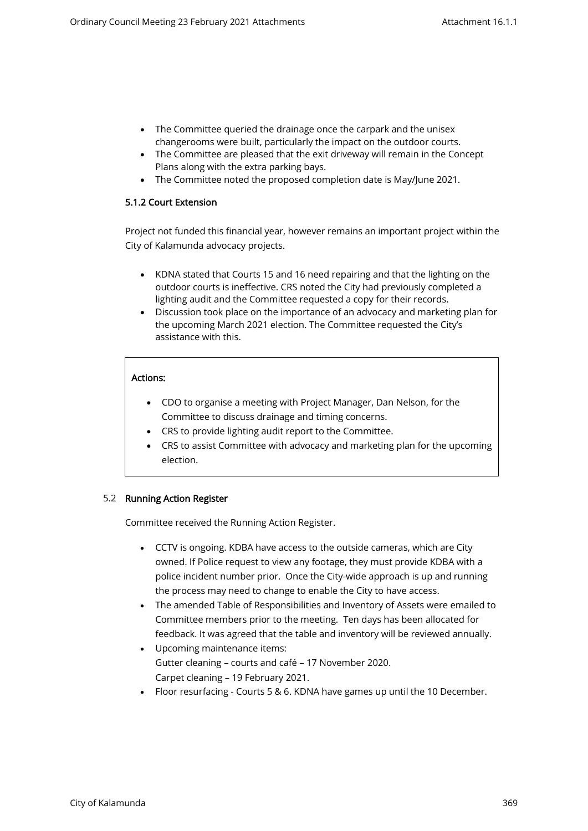- The Committee queried the drainage once the carpark and the unisex changerooms were built, particularly the impact on the outdoor courts.
- The Committee are pleased that the exit driveway will remain in the Concept Plans along with the extra parking bays.
- The Committee noted the proposed completion date is May/June 2021.

## 5.1.2 Court Extension

Project not funded this financial year, however remains an important project within the City of Kalamunda advocacy projects.

- KDNA stated that Courts 15 and 16 need repairing and that the lighting on the outdoor courts is ineffective. CRS noted the City had previously completed a lighting audit and the Committee requested a copy for their records.
- Discussion took place on the importance of an advocacy and marketing plan for the upcoming March 2021 election. The Committee requested the City's assistance with this.

## Actions:

- CDO to organise a meeting with Project Manager, Dan Nelson, for the Committee to discuss drainage and timing concerns.
- CRS to provide lighting audit report to the Committee.
- CRS to assist Committee with advocacy and marketing plan for the upcoming election.

## 5.2 Running Action Register

Committee received the Running Action Register.

- CCTV is ongoing. KDBA have access to the outside cameras, which are City owned. If Police request to view any footage, they must provide KDBA with a police incident number prior. Once the City-wide approach is up and running the process may need to change to enable the City to have access.
- The amended Table of Responsibilities and Inventory of Assets were emailed to Committee members prior to the meeting. Ten days has been allocated for feedback. It was agreed that the table and inventory will be reviewed annually.
- Upcoming maintenance items: Gutter cleaning – courts and café – 17 November 2020. Carpet cleaning – 19 February 2021.
- Floor resurfacing Courts 5 & 6. KDNA have games up until the 10 December.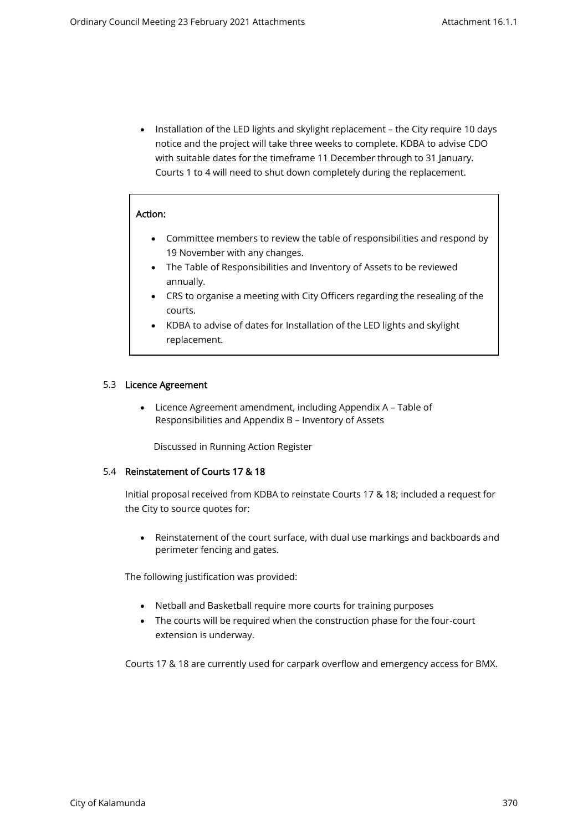• Installation of the LED lights and skylight replacement – the City require 10 days notice and the project will take three weeks to complete. KDBA to advise CDO with suitable dates for the timeframe 11 December through to 31 January. Courts 1 to 4 will need to shut down completely during the replacement.

#### Action:

- Committee members to review the table of responsibilities and respond by 19 November with any changes.
- The Table of Responsibilities and Inventory of Assets to be reviewed annually.
- CRS to organise a meeting with City Officers regarding the resealing of the courts.
- KDBA to advise of dates for Installation of the LED lights and skylight replacement.

#### 5.3 Licence Agreement

 • Licence Agreement amendment, including Appendix A – Table of Responsibilities and Appendix B – Inventory of Assets

Discussed in Running Action Register

#### 5.4 Reinstatement of Courts 17 & 18

Initial proposal received from KDBA to reinstate Courts 17 & 18; included a request for the City to source quotes for:

• Reinstatement of the court surface, with dual use markings and backboards and perimeter fencing and gates.

The following justification was provided:

- Netball and Basketball require more courts for training purposes
- The courts will be required when the construction phase for the four-court extension is underway.

Courts 17 & 18 are currently used for carpark overflow and emergency access for BMX.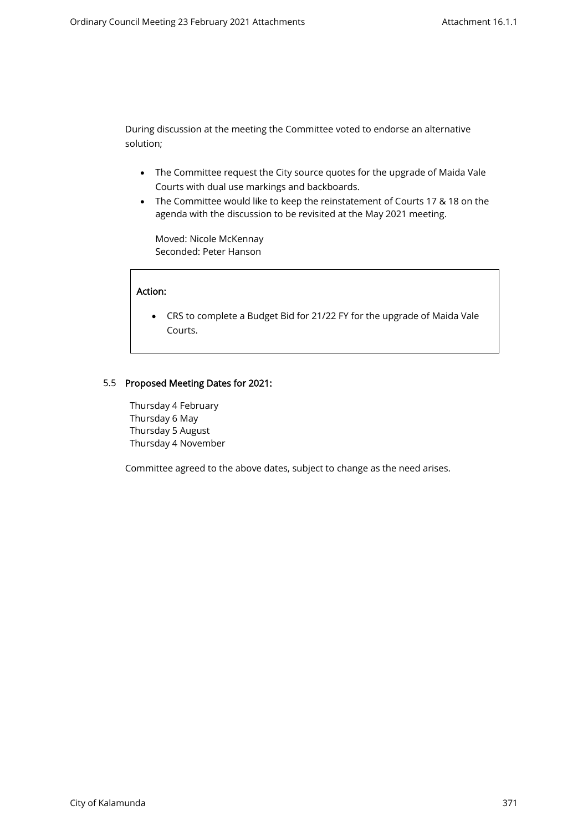During discussion at the meeting the Committee voted to endorse an alternative solution;

- The Committee request the City source quotes for the upgrade of Maida Vale Courts with dual use markings and backboards.
- The Committee would like to keep the reinstatement of Courts 17 & 18 on the agenda with the discussion to be revisited at the May 2021 meeting.

Moved: Nicole McKennay Seconded: Peter Hanson

#### Action:

• CRS to complete a Budget Bid for 21/22 FY for the upgrade of Maida Vale Courts.

## 5.5 Proposed Meeting Dates for 2021:

Thursday 4 February Thursday 6 May Thursday 5 August Thursday 4 November

Committee agreed to the above dates, subject to change as the need arises.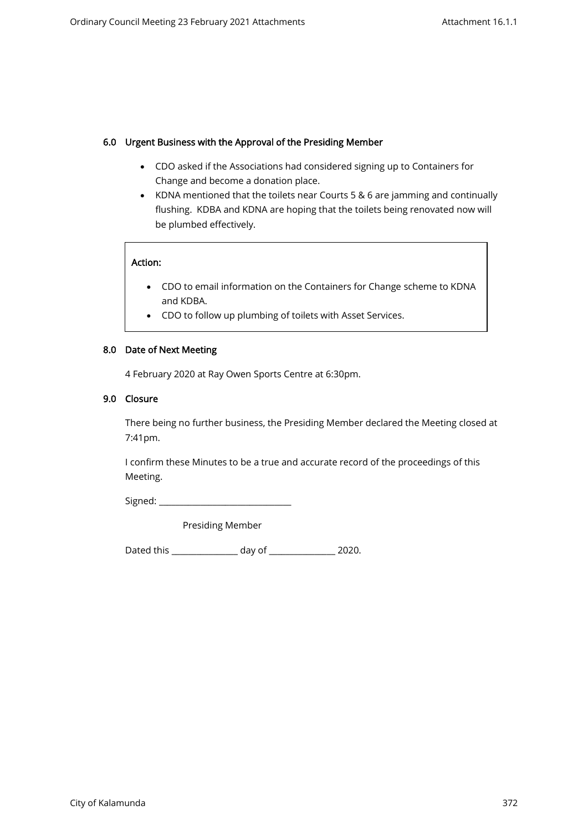#### 6.0 Urgent Business with the Approval of the Presiding Member

- CDO asked if the Associations had considered signing up to Containers for Change and become a donation place.
- KDNA mentioned that the toilets near Courts 5 & 6 are jamming and continually flushing. KDBA and KDNA are hoping that the toilets being renovated now will be plumbed effectively.

#### Action:

- CDO to email information on the Containers for Change scheme to KDNA and KDBA.
- CDO to follow up plumbing of toilets with Asset Services.

#### 8.0 Date of Next Meeting

4 February 2020 at Ray Owen Sports Centre at 6:30pm.

#### 9.0 Closure

There being no further business, the Presiding Member declared the Meeting closed at 7:41pm.

I confirm these Minutes to be a true and accurate record of the proceedings of this Meeting.

Signed: \_\_\_\_\_\_\_\_\_\_\_\_\_\_\_\_\_\_\_\_\_\_\_\_\_\_\_\_\_\_\_\_

Presiding Member

Dated this \_\_\_\_\_\_\_\_\_\_\_\_\_\_\_\_ day of \_\_\_\_\_\_\_\_\_\_\_\_\_\_\_\_ 2020.